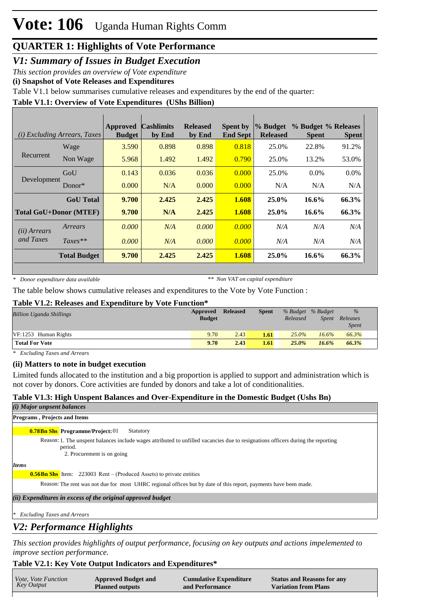# **Vote: 106** Uganda Human Rights Comm

# **QUARTER 1: Highlights of Vote Performance**

*V1: Summary of Issues in Budget Execution*

*This section provides an overview of Vote expenditure* 

**(i) Snapshot of Vote Releases and Expenditures**

Table V1.1 below summarises cumulative releases and expenditures by the end of the quarter:

## **Table V1.1: Overview of Vote Expenditures (UShs Billion)**

|              | ( <i>i</i> ) Excluding Arrears, Taxes | <b>Approved</b><br><b>Budget</b> | <b>Cashlimits</b><br>by End | <b>Released</b><br>by End | <b>Spent by</b><br><b>End Sept</b> | % Budget<br><b>Released</b> | % Budget % Releases<br><b>Spent</b> | <b>Spent</b> |
|--------------|---------------------------------------|----------------------------------|-----------------------------|---------------------------|------------------------------------|-----------------------------|-------------------------------------|--------------|
|              | Wage                                  | 3.590                            | 0.898                       | 0.898                     | 0.818                              | 25.0%                       | 22.8%                               | 91.2%        |
| Recurrent    | Non Wage                              | 5.968                            | 1.492                       | 1.492                     | 0.790                              | 25.0%                       | 13.2%                               | 53.0%        |
|              | GoU                                   | 0.143                            | 0.036                       | 0.036                     | 0.000                              | 25.0%                       | $0.0\%$                             | $0.0\%$      |
| Development  | Donor*                                | 0.000                            | N/A                         | 0.000                     | 0.000                              | N/A                         | N/A                                 | N/A          |
|              | <b>GoU</b> Total                      | 9.700                            | 2.425                       | 2.425                     | 1.608                              | $25.0\%$                    | 16.6%                               | 66.3%        |
|              | <b>Total GoU+Donor (MTEF)</b>         | 9.700                            | N/A                         | 2.425                     | 1.608                              | 25.0%                       | $16.6\%$                            | 66.3%        |
| (ii) Arrears | Arrears                               | 0.000                            | N/A                         | 0.000                     | 0.000                              | N/A                         | N/A                                 | N/A          |
| and Taxes    | $Taxes**$                             | 0.000                            | N/A                         | 0.000                     | 0.000                              | N/A                         | N/A                                 | N/A          |
|              | <b>Total Budget</b>                   | 9.700                            | 2.425                       | 2.425                     | 1.608                              | $25.0\%$                    | 16.6%                               | 66.3%        |

*\* Donor expenditure data available*

*\*\* Non VAT on capital expenditure*

The table below shows cumulative releases and expenditures to the Vote by Vote Function :

#### **Table V1.2: Releases and Expenditure by Vote Function\***

| <b>Billion Uganda Shillings</b> | Approved<br><b>Budget</b> | <b>Released</b> | <b>Spent</b> | % Budget % Budget<br>Released | Spent    | $\%$<br>Releases<br><b>Spent</b> |
|---------------------------------|---------------------------|-----------------|--------------|-------------------------------|----------|----------------------------------|
| $VF: 1253$ Human Rights         | 9.70                      | 2.43            | 1.61         | $25.0\%$                      | $16.6\%$ | 66.3%                            |
| <b>Total For Vote</b>           | 9.70                      | 2.43            | 1.61         | 25.0%                         | $16.6\%$ | 66.3%                            |

*\* Excluding Taxes and Arrears*

#### **(ii) Matters to note in budget execution**

Limited funds allocated to the institution and a big proportion is applied to support and administration which is not cover by donors. Core activities are funded by donors and take a lot of conditionalities.

## **Table V1.3: High Unspent Balances and Over-Expenditure in the Domestic Budget (Ushs Bn)**

## *(i) Major unpsent balances*

# **Programs , Projects and Items**

**0.78Bn Shs Programme/Project: 01 Statutory** 

Reason: 1. The unspent balances include wages attributed to unfilled vacancies due to resignations officers during the reporting period.

2. Procurement is on going

*Items*

**0.56Bn Shs** Item: 223003 Rent – (Produced Assets) to private entities

Reason: The rent was not due for most UHRC regional offices but by date of this report, payments have been made.

*(ii) Expenditures in excess of the original approved budget*

*\* Excluding Taxes and Arrears*

## *V2: Performance Highlights*

*This section provides highlights of output performance, focusing on key outputs and actions impelemented to improve section performance.*

#### **Table V2.1: Key Vote Output Indicators and Expenditures\***

| <i>Vote, Vote Function</i><br><b>Cumulative Expenditure</b><br><b>Status and Reasons for any</b><br><b>Approved Budget and</b><br>Key Output<br><b>Variation from Plans</b><br><b>Planned outputs</b><br>and Performance |  |
|--------------------------------------------------------------------------------------------------------------------------------------------------------------------------------------------------------------------------|--|
|--------------------------------------------------------------------------------------------------------------------------------------------------------------------------------------------------------------------------|--|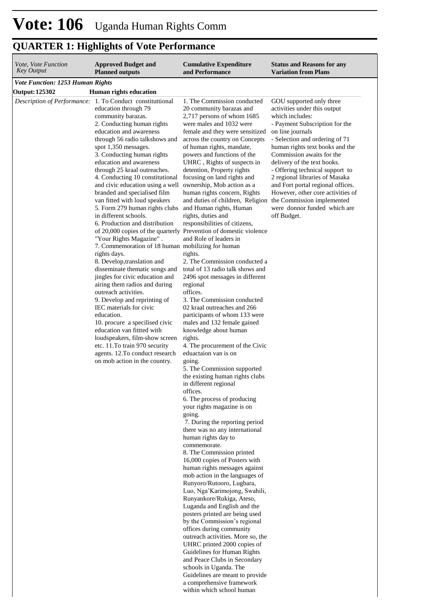| <i>Vote, Vote Function</i><br>Key Output | <b>Approved Budget and</b><br><b>Planned outputs</b>                                                                                                                                                                                                                                                                                                                                                                                                                                                                                                                                                                                                                                                                                                                                                                                                                                                                                                                                                                                                                                                                                                                                                         | <b>Cumulative Expenditure</b><br>and Performance                                                                                                                                                                                                                                                                                                                                                                                                                                                                                                                                                                                                                                                                                                                                                                                                                                                                                                                                                                                                                                                                                                                                                                                                                                                                                                                                                                                                                                                                                                                                                                                      | <b>Status and Reasons for any</b><br><b>Variation from Plans</b>                                                                                                                                                                                                                                                                                                                                                                                                                               |
|------------------------------------------|--------------------------------------------------------------------------------------------------------------------------------------------------------------------------------------------------------------------------------------------------------------------------------------------------------------------------------------------------------------------------------------------------------------------------------------------------------------------------------------------------------------------------------------------------------------------------------------------------------------------------------------------------------------------------------------------------------------------------------------------------------------------------------------------------------------------------------------------------------------------------------------------------------------------------------------------------------------------------------------------------------------------------------------------------------------------------------------------------------------------------------------------------------------------------------------------------------------|---------------------------------------------------------------------------------------------------------------------------------------------------------------------------------------------------------------------------------------------------------------------------------------------------------------------------------------------------------------------------------------------------------------------------------------------------------------------------------------------------------------------------------------------------------------------------------------------------------------------------------------------------------------------------------------------------------------------------------------------------------------------------------------------------------------------------------------------------------------------------------------------------------------------------------------------------------------------------------------------------------------------------------------------------------------------------------------------------------------------------------------------------------------------------------------------------------------------------------------------------------------------------------------------------------------------------------------------------------------------------------------------------------------------------------------------------------------------------------------------------------------------------------------------------------------------------------------------------------------------------------------|------------------------------------------------------------------------------------------------------------------------------------------------------------------------------------------------------------------------------------------------------------------------------------------------------------------------------------------------------------------------------------------------------------------------------------------------------------------------------------------------|
| <b>Vote Function: 1253 Human Rights</b>  |                                                                                                                                                                                                                                                                                                                                                                                                                                                                                                                                                                                                                                                                                                                                                                                                                                                                                                                                                                                                                                                                                                                                                                                                              |                                                                                                                                                                                                                                                                                                                                                                                                                                                                                                                                                                                                                                                                                                                                                                                                                                                                                                                                                                                                                                                                                                                                                                                                                                                                                                                                                                                                                                                                                                                                                                                                                                       |                                                                                                                                                                                                                                                                                                                                                                                                                                                                                                |
| <b>Output: 125302</b>                    | <b>Human rights education</b><br>Description of Performance: 1. To Conduct constituttional<br>education through 79<br>community barazas.<br>2. Conducting human rights<br>education and awareness<br>through 56 radio talkshows and<br>spot 1,350 messages.<br>3. Conducting human rights<br>education and awareness<br>through 25 kraal outreaches.<br>4. Conducting 10 constitutional<br>and civic education using a well<br>branded and specialised film<br>van fitted with loud speakers<br>5. Form 279 human rights clubs<br>in different schools.<br>6. Production and distribution<br>of 20,000 copies of the quarterly Prevention of domestic violence<br>"Your Rights Magazine".<br>7. Commemoration of 18 human mobilizing for human<br>rights days.<br>8. Develop, translation and<br>disseminate thematic songs and<br>jingles for civic education and<br>airing them radios and during<br>outreach activities.<br>9. Develop and reprinting of<br>IEC materials for civic<br>education.<br>10. procure a specilised civic<br>education van fittted with<br>loudspeakers, film-show screen<br>etc. 11. To train 970 security<br>agents. 12. To conduct research<br>on mob action in the country. | 1. The Commission conducted<br>20 community barazas and<br>2,717 persons of whom 1685<br>were males and 1032 were<br>female and they were sensitized<br>across the country on Concepts<br>of human rights, mandate,<br>powers and functions of the<br>UHRC, Rights of suspects in<br>detention, Property rights<br>focusing on land rights and<br>ownership, Mob action as a<br>human rights concern, Rights<br>and duties of children, Religion<br>and Human rights, Human<br>rights, duties and<br>responsibilities of citizens,<br>and Role of leaders in<br>rights.<br>2. The Commission conducted a<br>total of 13 radio talk shows and<br>2496 spot messages in different<br>regional<br>offices.<br>3. The Commission conducted<br>02 kraal outreaches and 266<br>participants of whom 133 were<br>males and 132 female gained<br>knowledge about human<br>rights.<br>4. The procurement of the Civic<br>eduactaion van is on<br>going.<br>5. The Commission supported<br>the existing human rights clubs<br>in different regional<br>offices.<br>6. The process of producing<br>your rights magazine is on<br>going.<br>7. During the reporting period<br>there was no any international<br>human rights day to<br>commemorate.<br>8. The Commission printed<br>16,000 copies of Posters with<br>human rights messages against<br>mob action in the languages of<br>Runyoro/Rutooro, Lugbara,<br>Luo, Nga'Karimojong, Swahili,<br>Runyankore/Rukiga, Ateso,<br>Luganda and English and the<br>posters printed are being used<br>by the Commission's regional<br>offices during community<br>outreach activities. More so, the | GOU supported only three<br>activities under this output<br>which includes:<br>- Payment Subscription for the<br>on line journals<br>- Selection and ordering of 71<br>human rights text books and the<br>Commission awaits for the<br>delivery of the text books.<br>- Offering technical support to<br>2 regional libraries of Masaka<br>and Fort portal regional offices.<br>However, other core activities of<br>the Commission implemented<br>were donnor funded which are<br>off Budget. |

within which school human

# **QUARTER 1: Highlights of Vote Performance**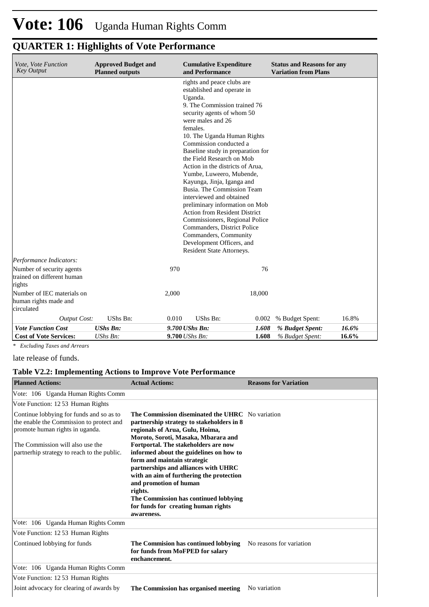| Vote, Vote Function<br><b>Key Output</b>            | <b>Approved Budget and</b><br><b>Planned outputs</b> | <b>Cumulative Expenditure</b><br>and Performance                       |        | <b>Status and Reasons for any</b><br><b>Variation from Plans</b> |       |  |  |  |
|-----------------------------------------------------|------------------------------------------------------|------------------------------------------------------------------------|--------|------------------------------------------------------------------|-------|--|--|--|
|                                                     |                                                      | rights and peace clubs are<br>established and operate in               |        |                                                                  |       |  |  |  |
|                                                     |                                                      | Uganda.                                                                |        |                                                                  |       |  |  |  |
|                                                     |                                                      | 9. The Commission trained 76                                           |        |                                                                  |       |  |  |  |
|                                                     |                                                      | security agents of whom 50                                             |        |                                                                  |       |  |  |  |
|                                                     |                                                      | were males and 26                                                      |        |                                                                  |       |  |  |  |
|                                                     |                                                      | females.                                                               |        |                                                                  |       |  |  |  |
|                                                     |                                                      | 10. The Uganda Human Rights                                            |        |                                                                  |       |  |  |  |
|                                                     |                                                      | Commission conducted a<br>Baseline study in preparation for            |        |                                                                  |       |  |  |  |
|                                                     |                                                      | the Field Research on Mob                                              |        |                                                                  |       |  |  |  |
|                                                     |                                                      | Action in the districts of Arua,                                       |        |                                                                  |       |  |  |  |
|                                                     |                                                      | Yumbe, Luweero, Mubende,                                               |        |                                                                  |       |  |  |  |
|                                                     |                                                      | Kayunga, Jinja, Iganga and                                             |        |                                                                  |       |  |  |  |
|                                                     |                                                      | Busia. The Commission Team                                             |        |                                                                  |       |  |  |  |
|                                                     |                                                      | interviewed and obtained                                               |        |                                                                  |       |  |  |  |
|                                                     |                                                      | preliminary information on Mob<br><b>Action from Resident District</b> |        |                                                                  |       |  |  |  |
|                                                     |                                                      | Commissioners, Regional Police                                         |        |                                                                  |       |  |  |  |
|                                                     |                                                      | Commanders, District Police                                            |        |                                                                  |       |  |  |  |
|                                                     |                                                      | Commanders, Community                                                  |        |                                                                  |       |  |  |  |
|                                                     |                                                      | Development Officers, and                                              |        |                                                                  |       |  |  |  |
|                                                     |                                                      | Resident State Attorneys.                                              |        |                                                                  |       |  |  |  |
| Performance Indicators:                             |                                                      |                                                                        |        |                                                                  |       |  |  |  |
| Number of security agents                           |                                                      | 970                                                                    | 76     |                                                                  |       |  |  |  |
| trained on different human                          |                                                      |                                                                        |        |                                                                  |       |  |  |  |
| rights                                              |                                                      |                                                                        |        |                                                                  |       |  |  |  |
| Number of IEC materials on<br>human rights made and |                                                      | 2,000                                                                  | 18,000 |                                                                  |       |  |  |  |
| circulated                                          |                                                      |                                                                        |        |                                                                  |       |  |  |  |
| <b>Output Cost:</b>                                 | UShs Bn:                                             | UShs Bn:<br>0.010                                                      | 0.002  | % Budget Spent:                                                  | 16.8% |  |  |  |
| <b>Vote Function Cost</b>                           | <b>UShs Bn:</b>                                      | 9.700 UShs Bn:                                                         | 1.608  | % Budget Spent:                                                  | 16.6% |  |  |  |
| <b>Cost of Vote Services:</b>                       | UShs Bn:                                             | 9.700 UShs Bn:                                                         | 1.608  | % Budget Spent:                                                  | 16.6% |  |  |  |
| * Excluding Taxes and Arrears                       |                                                      |                                                                        |        |                                                                  |       |  |  |  |

# **QUARTER 1: Highlights of Vote Performance**

late release of funds.

## **Table V2.2: Implementing Actions to Improve Vote Performance**

| <b>Planned Actions:</b>                                                                                                                                                                                    | <b>Actual Actions:</b>                                                                                                                                                                                                                                                                                                                                                                                                                                                                                           | <b>Reasons for Variation</b> |
|------------------------------------------------------------------------------------------------------------------------------------------------------------------------------------------------------------|------------------------------------------------------------------------------------------------------------------------------------------------------------------------------------------------------------------------------------------------------------------------------------------------------------------------------------------------------------------------------------------------------------------------------------------------------------------------------------------------------------------|------------------------------|
| Vote: 106 Uganda Human Rights Comm                                                                                                                                                                         |                                                                                                                                                                                                                                                                                                                                                                                                                                                                                                                  |                              |
| Vote Function: 1253 Human Rights                                                                                                                                                                           |                                                                                                                                                                                                                                                                                                                                                                                                                                                                                                                  |                              |
| Continue lobbying for funds and so as to<br>the enable the Commission to protect and<br>promote human rights in uganda.<br>The Commission will also use the<br>partnerhip strategy to reach to the public. | The Commission diseminated the UHRC No variation<br>partnership strategy to stakeholders in 8<br>regionals of Arua, Gulu, Hoima,<br>Moroto, Soroti, Masaka, Mbarara and<br>Fortportal. The stakeholders are now<br>informed about the guidelines on how to<br>form and maintain strategic<br>partnerships and alliances with UHRC<br>with an aim of furthering the protection<br>and promotion of human<br>rights.<br>The Commission has continued lobbying<br>for funds for creating human rights<br>awareness. |                              |
| Vote: 106 Uganda Human Rights Comm                                                                                                                                                                         |                                                                                                                                                                                                                                                                                                                                                                                                                                                                                                                  |                              |
| Vote Function: 1253 Human Rights                                                                                                                                                                           |                                                                                                                                                                                                                                                                                                                                                                                                                                                                                                                  |                              |
| Continued lobbying for funds                                                                                                                                                                               | The Commision has continued lobbying No reasons for variation<br>for funds from MoFPED for salary<br>enchancement.                                                                                                                                                                                                                                                                                                                                                                                               |                              |
| Vote: 106 Uganda Human Rights Comm                                                                                                                                                                         |                                                                                                                                                                                                                                                                                                                                                                                                                                                                                                                  |                              |
| Vote Function: 1253 Human Rights                                                                                                                                                                           |                                                                                                                                                                                                                                                                                                                                                                                                                                                                                                                  |                              |
| Joint advocacy for clearing of awards by                                                                                                                                                                   | <b>The Commission has organised meeting</b> No variation                                                                                                                                                                                                                                                                                                                                                                                                                                                         |                              |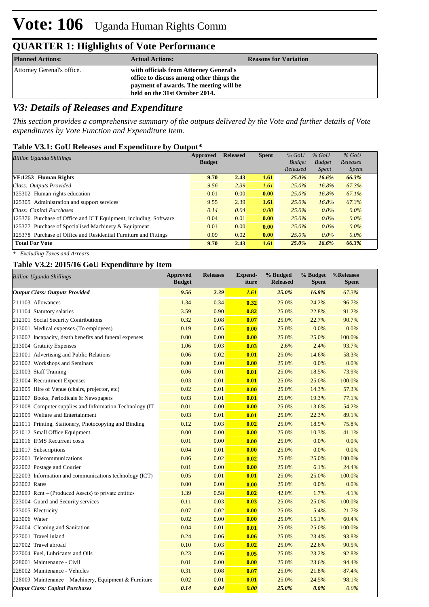# **Vote: 106** Uganda Human Rights Comm

# **QUARTER 1: Highlights of Vote Performance**

| <b>Planned Actions:</b>    | <b>Actual Actions:</b>                                                                                                                                         | <b>Reasons for Variation</b> |
|----------------------------|----------------------------------------------------------------------------------------------------------------------------------------------------------------|------------------------------|
| Attorney Gerenal's office. | with officials from Attorney General's<br>office to discuss among other things the<br>payment of awards. The meeting will be<br>held on the 31st October 2014. |                              |

# *V3: Details of Releases and Expenditure*

*This section provides a comprehensive summary of the outputs delivered by the Vote and further details of Vote expenditures by Vote Function and Expenditure Item.*

### **Table V3.1: GoU Releases and Expenditure by Output\***

| <b>Billion Uganda Shillings</b>                                  | Approved      | <b>Released</b> | <b>Spent</b> | $%$ GoU       | $%$ GoU       | $%$ GoU      |
|------------------------------------------------------------------|---------------|-----------------|--------------|---------------|---------------|--------------|
|                                                                  | <b>Budget</b> |                 |              | <b>Budget</b> | <b>Budget</b> | Releases     |
|                                                                  |               |                 |              | Released      | <i>Spent</i>  | <i>Spent</i> |
| VF:1253 Human Rights                                             | 9.70          | 2.43            | 1.61         | 25.0%         | 16.6%         | 66.3%        |
| Class: Outputs Provided                                          | 9.56          | 2.39            | 1.61         | $25.0\%$      | 16.8%         | 67.3%        |
| 125302 Human rights education                                    | 0.01          | 0.00            | 0.00         | $25.0\%$      | 16.8%         | 67.1%        |
| 125305 Administration and support services                       | 9.55          | 2.39            | 1.61         | $25.0\%$      | 16.8%         | 67.3%        |
| Class: Capital Purchases                                         | 0.14          | 0.04            | 0.00         | 25.0%         | $0.0\%$       | $0.0\%$      |
| 125376 Purchase of Office and ICT Equipment, including Software  | 0.04          | 0.01            | 0.00         | $25.0\%$      | $0.0\%$       | $0.0\%$      |
| 125377 Purchase of Specialised Machinery & Equipment             | 0.01          | 0.00            | 0.00         | $25.0\%$      | $0.0\%$       | $0.0\%$      |
| 125378 Purchase of Office and Residential Furniture and Fittings | 0.09          | 0.02            | 0.00         | 25.0%         | $0.0\%$       | $0.0\%$      |
| <b>Total For Vote</b>                                            | 9.70          | 2.43            | 1.61         | 25.0%         | 16.6%         | 66.3%        |

*\* Excluding Taxes and Arrears*

### **Table V3.2: 2015/16 GoU Expenditure by Item**

| <b>Billion Uganda Shillings</b>                          | <b>Approved</b><br><b>Budget</b> | <b>Releases</b> | Expend-<br>iture | % Budged<br><b>Released</b> | % Budget<br><b>Spent</b> | %Releases<br><b>Spent</b> |
|----------------------------------------------------------|----------------------------------|-----------------|------------------|-----------------------------|--------------------------|---------------------------|
| <b>Output Class: Outputs Provided</b>                    | 9.56                             | 2.39            | 1.61             | 25.0%                       | 16.8%                    | 67.3%                     |
| 211103 Allowances                                        | 1.34                             | 0.34            | 0.32             | 25.0%                       | 24.2%                    | 96.7%                     |
| 211104 Statutory salaries                                | 3.59                             | 0.90            | 0.82             | 25.0%                       | 22.8%                    | 91.2%                     |
| 212101 Social Security Contributions                     | 0.32                             | 0.08            | 0.07             | 25.0%                       | 22.7%                    | 90.7%                     |
| 213001 Medical expenses (To employees)                   | 0.19                             | 0.05            | 0.00             | 25.0%                       | 0.0%                     | 0.0%                      |
| 213002 Incapacity, death benefits and funeral expenses   | 0.00                             | 0.00            | 0.00             | 25.0%                       | 25.0%                    | 100.0%                    |
| 213004 Gratuity Expenses                                 | 1.06                             | 0.03            | 0.03             | 2.6%                        | 2.4%                     | 93.7%                     |
| 221001 Advertising and Public Relations                  | 0.06                             | 0.02            | 0.01             | 25.0%                       | 14.6%                    | 58.3%                     |
| 221002 Workshops and Seminars                            | 0.00                             | 0.00            | 0.00             | 25.0%                       | 0.0%                     | 0.0%                      |
| 221003 Staff Training                                    | 0.06                             | 0.01            | 0.01             | 25.0%                       | 18.5%                    | 73.9%                     |
| 221004 Recruitment Expenses                              | 0.03                             | 0.01            | 0.01             | 25.0%                       | 25.0%                    | 100.0%                    |
| 221005 Hire of Venue (chairs, projector, etc)            | 0.02                             | 0.01            | 0.00             | 25.0%                       | 14.3%                    | 57.3%                     |
| 221007 Books, Periodicals & Newspapers                   | 0.03                             | 0.01            | 0.01             | 25.0%                       | 19.3%                    | 77.1%                     |
| 221008 Computer supplies and Information Technology (IT) | 0.01                             | 0.00            | 0.00             | 25.0%                       | 13.6%                    | 54.2%                     |
| 221009 Welfare and Entertainment                         | 0.03                             | 0.01            | 0.01             | 25.0%                       | 22.3%                    | 89.1%                     |
| 221011 Printing, Stationery, Photocopying and Binding    | 0.12                             | 0.03            | 0.02             | 25.0%                       | 18.9%                    | 75.8%                     |
| 221012 Small Office Equipment                            | 0.00                             | 0.00            | 0.00             | 25.0%                       | 10.3%                    | 41.1%                     |
| 221016 IFMS Recurrent costs                              | 0.01                             | 0.00            | 0.00             | 25.0%                       | 0.0%                     | 0.0%                      |
| 221017 Subscriptions                                     | 0.04                             | 0.01            | 0.00             | 25.0%                       | 0.0%                     | 0.0%                      |
| 222001 Telecommunications                                | 0.06                             | 0.02            | 0.02             | 25.0%                       | 25.0%                    | 100.0%                    |
| 222002 Postage and Courier                               | 0.01                             | 0.00            | 0.00             | 25.0%                       | 6.1%                     | 24.4%                     |
| 222003 Information and communications technology (ICT)   | 0.05                             | 0.01            | 0.01             | 25.0%                       | 25.0%                    | 100.0%                    |
| 223002 Rates                                             | 0.00                             | 0.00            | 0.00             | 25.0%                       | 0.0%                     | 0.0%                      |
| 223003 Rent – (Produced Assets) to private entities      | 1.39                             | 0.58            | 0.02             | 42.0%                       | 1.7%                     | 4.1%                      |
| 223004 Guard and Security services                       | 0.11                             | 0.03            | 0.03             | 25.0%                       | 25.0%                    | 100.0%                    |
| 223005 Electricity                                       | 0.07                             | 0.02            | 0.00             | 25.0%                       | 5.4%                     | 21.7%                     |
| 223006 Water                                             | 0.02                             | 0.00            | 0.00             | 25.0%                       | 15.1%                    | 60.4%                     |
| 224004 Cleaning and Sanitation                           | 0.04                             | 0.01            | 0.01             | 25.0%                       | 25.0%                    | 100.0%                    |
| 227001 Travel inland                                     | 0.24                             | 0.06            | 0.06             | 25.0%                       | 23.4%                    | 93.8%                     |
| 227002 Travel abroad                                     | 0.10                             | 0.03            | 0.02             | 25.0%                       | 22.6%                    | 90.5%                     |
| 227004 Fuel, Lubricants and Oils                         | 0.23                             | 0.06            | 0.05             | 25.0%                       | 23.2%                    | 92.8%                     |
| 228001 Maintenance - Civil                               | 0.01                             | 0.00            | 0.00             | 25.0%                       | 23.6%                    | 94.4%                     |
| 228002 Maintenance - Vehicles                            | 0.31                             | 0.08            | 0.07             | 25.0%                       | 21.8%                    | 87.4%                     |
| 228003 Maintenance – Machinery, Equipment & Furniture    | 0.02                             | 0.01            | 0.01             | 25.0%                       | 24.5%                    | 98.1%                     |
| <b>Output Class: Capital Purchases</b>                   | 0.14                             | 0.04            | 0.00             | 25.0%                       | 0.0%                     | $0.0\%$                   |